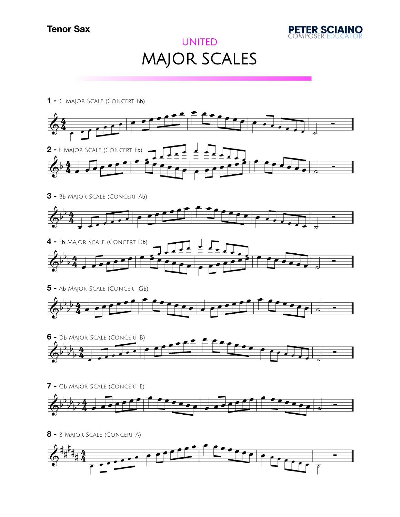## **Tenor Sax**



## UNITED MAJOR SCALES



- **-** G<sup>b</sup> Major Scale (Concert E)
- **-** B Major Scale (Concert A)